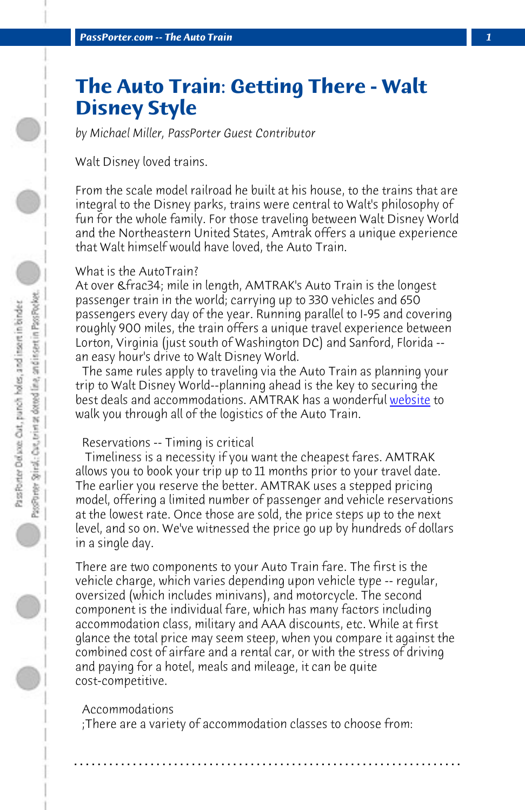*PassPorter.com -- The Auto Train 1*

# **The Auto Train: Getting There - Walt Disney Style**

*by Michael Miller, PassPorter Guest Contributor*

Walt Disney loved trains.

From the scale model railroad he built at his house, to the trains that are integral to the Disney parks, trains were central to Walt's philosophy of fun for the whole family. For those traveling between Walt Disney World and the Northeastern United States, Amtrak offers a unique experience that Walt himself would have loved, the Auto Train.

## What is the AutoTrain?

At over & frac34; mile in length, AMTRAK's Auto Train is the longest passenger train in the world; carrying up to 330 vehicles and 650 passengers every day of the year. Running parallel to I-95 and covering roughly 900 miles, the train offers a unique travel experience between Lorton, Virginia (just south of Washington DC) and Sanford, Florida - an easy hour's drive to Walt Disney World.

 The same rules apply to traveling via the Auto Train as planning your trip to Walt Disney World--planning ahead is the key to securing the best deals and accommodations. AMTRAK has a wonderful website to walk you through all of the logistics of the Auto Train.

#### Reservations -- Timing is critical

 Timeliness is a necessity if you want the cheapest fares. AMTRAK allows you to book your trip up to 11 months prior to your travel date. The earlier you reserve the better. AMTRAK uses a stepped pricing model, offering a limited number of passenger and vehicle reservations at the lowest rate. Once those are sold, the price steps up to the next level, and so on. We've witnessed the price go up by hundreds of dollars in a single day.

There are two components to your Auto Train fare. The first is the vehicle charge, which varies depending upon vehicle type -- regular, oversized (which includes minivans), and motorcycle. The second component is the individual fare, which has many factors including accommodation class, military and AAA discounts, etc. While at first glance the total price may seem steep, when you compare it against the combined cost of airfare and a rental car, or with the stress of driving and paying for a hotel, meals and mileage, it can be quite cost-competitive.

### Accommodations

 ;There are a variety of accommodation classes to choose from:

**. . . . . . . . . . . . . . . . . . . . . . . . . . . . . . . . . . . . . . . . . . . . . . . . . . . . . . . . . . . . . . . . . .**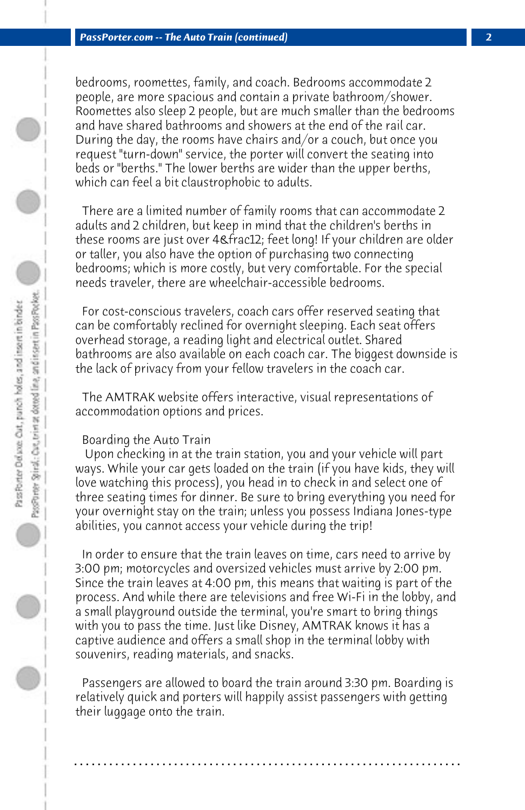bedrooms, roomettes, family, and coach. Bedrooms accommodate 2 people, are more spacious and contain a private bathroom/shower. Roomettes also sleep 2 people, but are much smaller than the bedrooms and have shared bathrooms and showers at the end of the rail car. During the day, the rooms have chairs and/or a couch, but once you request "turn-down" service, the porter will convert the seating into beds or "berths." The lower berths are wider than the upper berths, which can feel a bit claustrophobic to adults.

 There are a limited number of family rooms that can accommodate 2 adults and 2 children, but keep in mind that the children's berths in these rooms are just over 4& frac12; feet long! If your children are older or taller, you also have the option of purchasing two connecting bedrooms; which is more costly, but very comfortable. For the special needs traveler, there are wheelchair-accessible bedrooms.

 For cost-conscious travelers, coach cars offer reserved seating that can be comfortably reclined for overnight sleeping. Each seat offers overhead storage, a reading light and electrical outlet. Shared bathrooms are also available on each coach car. The biggest downside is the lack of privacy from your fellow travelers in the coach car.

 The AMTRAK website offers interactive, visual representations of accommodation options and prices.

## Boarding the Auto Train

 Upon checking in at the train station, you and your vehicle will part ways. While your car gets loaded on the train (if you have kids, they will love watching this process), you head in to check in and select one of three seating times for dinner. Be sure to bring everything you need for your overnight stay on the train; unless you possess Indiana Jones-type abilities, you cannot access your vehicle during the trip!

 In order to ensure that the train leaves on time, cars need to arrive by 3:00 pm; motorcycles and oversized vehicles must arrive by 2:00 pm. Since the train leaves at 4:00 pm, this means that waiting is part of the process. And while there are televisions and free Wi-Fi in the lobby, and a small playground outside the terminal, you're smart to bring things with you to pass the time. Just like Disney, AMTRAK knows it has a captive audience and offers a small shop in the terminal lobby with souvenirs, reading materials, and snacks.

 Passengers are allowed to board the train around 3:30 pm. Boarding is relatively quick and porters will happily assist passengers with getting their luggage onto the train.

**. . . . . . . . . . . . . . . . . . . . . . . . . . . . . . . . . . . . . . . . . . . . . . . . . . . . . . . . . . . . . . . . . .**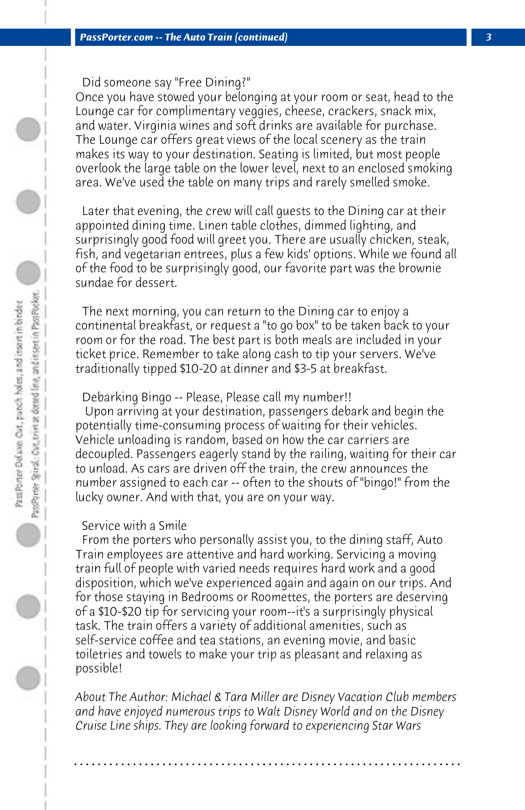Did someone say "Free Dining?"

Once you have stowed your belonging at your room or seat, head to the Lounge car for complimentary veggies, cheese, crackers, snack mix, and water. Virginia wines and soft drinks are available for purchase. The Lounge car offers great views of the local scenery as the train makes its way to your destination. Seating is limited, but most people overlook the large table on the lower level, next to an enclosed smoking area. We've used the table on many trips and rarely smelled smoke.

 Later that evening, the crew will call guests to the Dining car at their appointed dining time. Linen table clothes, dimmed lighting, and surprisingly good food will greet you. There are usually chicken, steak, fish, and vegetarian entrees, plus a few kids' options. While we found all of the food to be surprisingly good, our favorite part was the brownie sundae for dessert.

 The next morning, you can return to the Dining car to enjoy a continental breakfast, or request a "to go box" to be taken back to your room or for the road. The best part is both meals are included in your ticket price. Remember to take along cash to tip your servers. We've traditionally tipped \$10-20 at dinner and \$3-5 at breakfast.

#### Debarking Bingo -- Please, Please call my number!!

 Upon arriving at your destination, passengers debark and begin the potentially time-consuming process of waiting for their vehicles. Vehicle unloading is random, based on how the car carriers are decoupled. Passengers eagerly stand by the railing, waiting for their car to unload. As cars are driven off the train, the crew announces the number assigned to each car -- often to the shouts of "bingo!" from the lucky owner. And with that, you are on your way.

#### Service with a Smile

 From the porters who personally assist you, to the dining staff, Auto Train employees are attentive and hard working. Servicing a moving train full of people with varied needs requires hard work and a good disposition, which we've experienced again and again on our trips. And for those staying in Bedrooms or Roomettes, the porters are deserving of a \$10-\$20 tip for servicing your room--it's a surprisingly physical task. The train offers a variety of additional amenities, such as self-service coffee and tea stations, an evening movie, and basic toiletries and towels to make your trip as pleasant and relaxing as possible!

*About The Author: Michael & Tara Miller are Disney Vacation Club members and have enjoyed numerous trips to Walt Disney World and on the Disney Cruise Line ships. They are looking forward to experiencing Star Wars*

**. . . . . . . . . . . . . . . . . . . . . . . . . . . . . . . . . . . . . . . . . . . . . . . . . . . . . . . . . . . . . . . . . .**